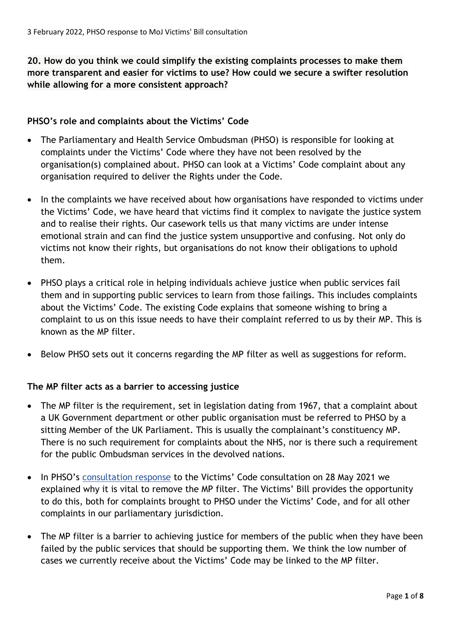**20. How do you think we could simplify the existing complaints processes to make them more transparent and easier for victims to use? How could we secure a swifter resolution while allowing for a more consistent approach?**

## **PHSO's role and complaints about the Victims' Code**

- The Parliamentary and Health Service Ombudsman (PHSO) is responsible for looking at complaints under the Victims' Code where they have not been resolved by the organisation(s) complained about. PHSO can look at a Victims' Code complaint about any organisation required to deliver the Rights under the Code.
- In the complaints we have received about how organisations have responded to victims under the Victims' Code, we have heard that victims find it complex to navigate the justice system and to realise their rights. Our casework tells us that many victims are under intense emotional strain and can find the justice system unsupportive and confusing. Not only do victims not know their rights, but organisations do not know their obligations to uphold them.
- PHSO plays a critical role in helping individuals achieve justice when public services fail them and in supporting public services to learn from those failings. This includes complaints about the Victims' Code. The existing Code explains that someone wishing to bring a complaint to us on this issue needs to have their complaint referred to us by their MP. This is known as the MP filter.
- Below PHSO sets out it concerns regarding the MP filter as well as suggestions for reform.

## **The MP filter acts as a barrier to accessing justice**

- The MP filter is the requirement, set in legislation dating from 1967, that a complaint about a UK Government department or other public organisation must be referred to PHSO by a sitting Member of the UK Parliament. This is usually the complainant's constituency MP. There is no such requirement for complaints about the NHS, nor is there such a requirement for the public Ombudsman services in the devolved nations.
- In PHSO's [consultation response](https://www.ombudsman.org.uk/sites/default/files/PHSO_Victims_Code_Consultation_Response_2020.pdf) to the Victims' Code consultation on 28 May 2021 we explained why it is vital to remove the MP filter. The Victims' Bill provides the opportunity to do this, both for complaints brought to PHSO under the Victims' Code, and for all other complaints in our parliamentary jurisdiction.
- The MP filter is a barrier to achieving justice for members of the public when they have been failed by the public services that should be supporting them. We think the low number of cases we currently receive about the Victims' Code may be linked to the MP filter.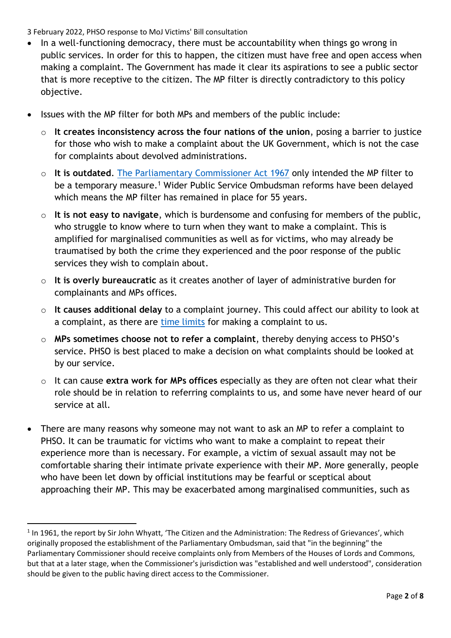- In a well-functioning democracy, there must be accountability when things go wrong in public services. In order for this to happen, the citizen must have free and open access when making a complaint. The Government has made it clear its aspirations to see a public sector that is more receptive to the citizen. The MP filter is directly contradictory to this policy objective.
- Issues with the MP filter for both MPs and members of the public include:
	- o **It creates inconsistency across the four nations of the union**, posing a barrier to justice for those who wish to make a complaint about the UK Government, which is not the case for complaints about devolved administrations.
	- o **It is outdated**. [The Parliamentary Commissioner Act 1967](https://www.legislation.gov.uk/ukpga/1967/13/contents) only intended the MP filter to be a temporary measure.<sup>1</sup> Wider Public Service Ombudsman reforms have been delayed which means the MP filter has remained in place for 55 years.
	- o **It is not easy to navigate**, which is burdensome and confusing for members of the public, who struggle to know where to turn when they want to make a complaint. This is amplified for marginalised communities as well as for victims, who may already be traumatised by both the crime they experienced and the poor response of the public services they wish to complain about.
	- o **It is overly bureaucratic** as it creates another of layer of administrative burden for complainants and MPs offices.
	- o **It causes additional delay** to a complaint journey. This could affect our ability to look at a complaint, as there are [time limits](https://www.ombudsman.org.uk/making-complaint/information-advocates-and-representatives/helping-people-use-our-service/when-did-problem-happen) for making a complaint to us.
	- o **MPs sometimes choose not to refer a complaint**, thereby denying access to PHSO's service. PHSO is best placed to make a decision on what complaints should be looked at by our service.
	- o It can cause **extra work for MPs offices** especially as they are often not clear what their role should be in relation to referring complaints to us, and some have never heard of our service at all.
- There are many reasons why someone may not want to ask an MP to refer a complaint to PHSO. It can be traumatic for victims who want to make a complaint to repeat their experience more than is necessary. For example, a victim of sexual assault may not be comfortable sharing their intimate private experience with their MP. More generally, people who have been let down by official institutions may be fearful or sceptical about approaching their MP. This may be exacerbated among marginalised communities, such as

<sup>&</sup>lt;sup>1</sup> In 1961, the report by Sir John Whyatt, 'The Citizen and the Administration: The Redress of Grievances', which originally proposed the establishment of the Parliamentary Ombudsman, said that "in the beginning" the Parliamentary Commissioner should receive complaints only from Members of the Houses of Lords and Commons, but that at a later stage, when the Commissioner's jurisdiction was "established and well understood", consideration should be given to the public having direct access to the Commissioner.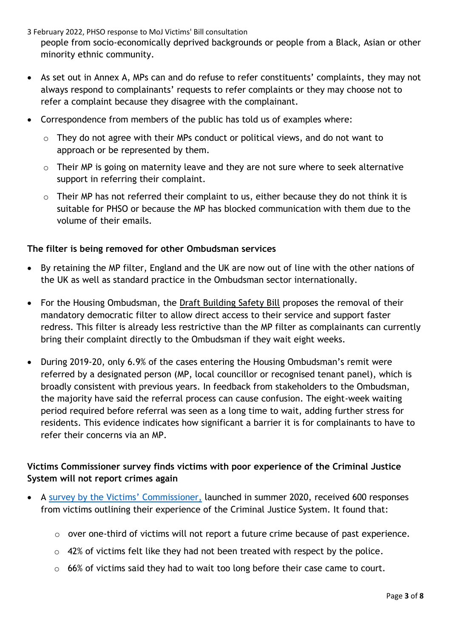- 3 February 2022, PHSO response to MoJ Victims' Bill consultation people from socio-economically deprived backgrounds or people from a Black, Asian or other minority ethnic community.
- As set out in Annex A, MPs can and do refuse to refer constituents' complaints, they may not always respond to complainants' requests to refer complaints or they may choose not to refer a complaint because they disagree with the complainant.
- Correspondence from members of the public has told us of examples where:
	- $\circ$  They do not agree with their MPs conduct or political views, and do not want to approach or be represented by them.
	- $\circ$  Their MP is going on maternity leave and they are not sure where to seek alternative support in referring their complaint.
	- $\circ$  Their MP has not referred their complaint to us, either because they do not think it is suitable for PHSO or because the MP has blocked communication with them due to the volume of their emails.

## **The filter is being removed for other Ombudsman services**

- By retaining the MP filter, England and the UK are now out of line with the other nations of the UK as well as standard practice in the Ombudsman sector internationally.
- For the Housing Ombudsman, the [Draft Building Safety Bill](https://www.gov.uk/government/publications/draft-building-safety-bill) proposes the removal of their mandatory democratic filter to allow direct access to their service and support faster redress. This filter is already less restrictive than the MP filter as complainants can currently bring their complaint directly to the Ombudsman if they wait eight weeks.
- During 2019-20, only 6.9% of the cases entering the Housing Ombudsman's remit were referred by a designated person (MP, local councillor or recognised tenant panel), which is broadly consistent with previous years. In feedback from stakeholders to the Ombudsman, the majority have said the referral process can cause confusion. The eight-week waiting period required before referral was seen as a long time to wait, adding further stress for residents. This evidence indicates how significant a barrier it is for complainants to have to refer their concerns via an MP.

# **Victims Commissioner survey finds victims with poor experience of the Criminal Justice System will not report crimes again**

- A [survey by the Victims](https://victimscommissioner.org.uk/news/2021-victim-survey/)' Commissioner, launched in summer 2020, received 600 responses from victims outlining their experience of the Criminal Justice System. It found that:
	- o over one-third of victims will not report a future crime because of past experience.
	- $\circ$  42% of victims felt like they had not been treated with respect by the police.
	- o 66% of victims said they had to wait too long before their case came to court.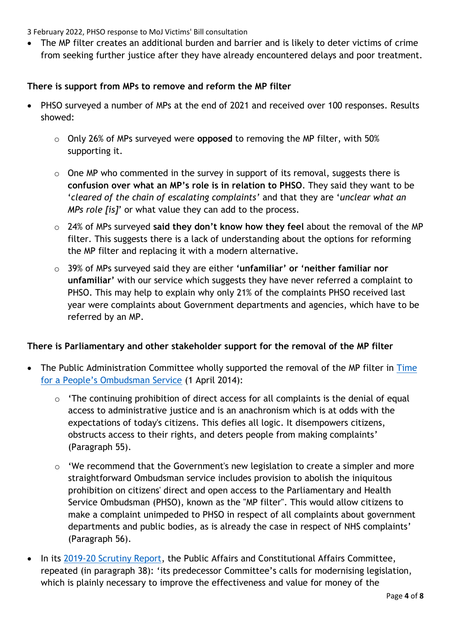• The MP filter creates an additional burden and barrier and is likely to deter victims of crime from seeking further justice after they have already encountered delays and poor treatment.

### **There is support from MPs to remove and reform the MP filter**

- PHSO surveyed a number of MPs at the end of 2021 and received over 100 responses. Results showed:
	- o Only 26% of MPs surveyed were **opposed** to removing the MP filter, with 50% supporting it.
	- $\circ$  One MP who commented in the survey in support of its removal, suggests there is **confusion over what an MP's role is in relation to PHSO**. They said they want to be '*cleared of the chain of escalating complaints'* and that they are '*unclear what an MPs role [is]*' or what value they can add to the process.
	- o 24% of MPs surveyed **said they don't know how they feel** about the removal of the MP filter. This suggests there is a lack of understanding about the options for reforming the MP filter and replacing it with a modern alternative.
	- o 39% of MPs surveyed said they are either **'unfamiliar' or 'neither familiar nor unfamiliar'** with our service which suggests they have never referred a complaint to PHSO. This may help to explain why only 21% of the complaints PHSO received last year were complaints about Government departments and agencies, which have to be referred by an MP.

## **There is Parliamentary and other stakeholder support for the removal of the MP filter**

- The Public Administration Committee wholly supported the removal of the MP filter in Time [for a People's Ombudsman Service](https://publications.parliament.uk/pa/cm201314/cmselect/cmpubadm/655/65502.htm) (1 April 2014):
	- o 'The continuing prohibition of direct access for all complaints is the denial of equal access to administrative justice and is an anachronism which is at odds with the expectations of today's citizens. This defies all logic. It disempowers citizens, obstructs access to their rights, and deters people from making complaints' (Paragraph 55).
	- o 'We recommend that the Government's new legislation to create a simpler and more straightforward Ombudsman service includes provision to abolish the iniquitous prohibition on citizens' direct and open access to the Parliamentary and Health Service Ombudsman (PHSO), known as the "MP filter". This would allow citizens to make a complaint unimpeded to PHSO in respect of all complaints about government departments and public bodies, as is already the case in respect of NHS complaints' (Paragraph 56).
- In its [2019-20 Scrutiny Report,](https://publications.parliament.uk/pa/cm5801/cmselect/cmpubadm/843/84306.htm#footnote-006) the Public Affairs and Constitutional Affairs Committee, repeated (in paragraph 38): 'its predecessor Committee's calls for modernising legislation, which is plainly necessary to improve the effectiveness and value for money of the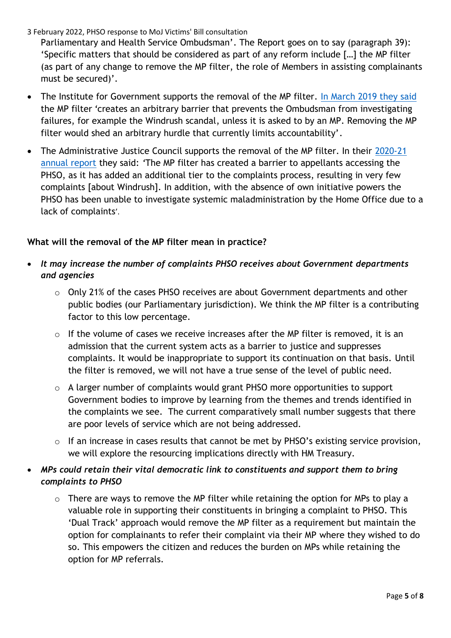Parliamentary and Health Service Ombudsman'. The Report goes on to say (paragraph 39): 'Specific matters that should be considered as part of any reform include […] the MP filter (as part of any change to remove the MP filter, the role of Members in assisting complainants must be secured)'.

- The Institute for Government supports the removal of the MP filter. [In March 2019 they said](https://www.instituteforgovernment.org.uk/blog/now-time-government-empower-ombudsman) the MP filter *'*creates an arbitrary barrier that prevents the Ombudsman from investigating failures, for example the Windrush scandal, unless it is asked to by an MP. Removing the MP filter would shed an arbitrary hurdle that currently limits accountability'.
- The Administrative Justice Council supports the removal of the MP filter. In their [2020-21](https://ajc-justice.co.uk/wp-content/uploads/2021/07/AJC-Annual-Report-2020-21-.pdf)  [annual report](https://ajc-justice.co.uk/wp-content/uploads/2021/07/AJC-Annual-Report-2020-21-.pdf) they said: *'*The MP filter has created a barrier to appellants accessing the PHSO, as it has added an additional tier to the complaints process, resulting in very few complaints [about Windrush]. In addition, with the absence of own initiative powers the PHSO has been unable to investigate systemic maladministration by the Home Office due to a lack of complaints'.

## **What will the removal of the MP filter mean in practice?**

- *It may increase the number of complaints PHSO receives about Government departments and agencies*
	- o Only 21% of the cases PHSO receives are about Government departments and other public bodies (our Parliamentary jurisdiction). We think the MP filter is a contributing factor to this low percentage.
	- o If the volume of cases we receive increases after the MP filter is removed, it is an admission that the current system acts as a barrier to justice and suppresses complaints. It would be inappropriate to support its continuation on that basis. Until the filter is removed, we will not have a true sense of the level of public need.
	- o A larger number of complaints would grant PHSO more opportunities to support Government bodies to improve by learning from the themes and trends identified in the complaints we see. The current comparatively small number suggests that there are poor levels of service which are not being addressed.
	- o If an increase in cases results that cannot be met by PHSO's existing service provision, we will explore the resourcing implications directly with HM Treasury.

# • *MPs could retain their vital democratic link to constituents and support them to bring complaints to PHSO*

 $\circ$  There are ways to remove the MP filter while retaining the option for MPs to play a valuable role in supporting their constituents in bringing a complaint to PHSO. This 'Dual Track' approach would remove the MP filter as a requirement but maintain the option for complainants to refer their complaint via their MP where they wished to do so. This empowers the citizen and reduces the burden on MPs while retaining the option for MP referrals.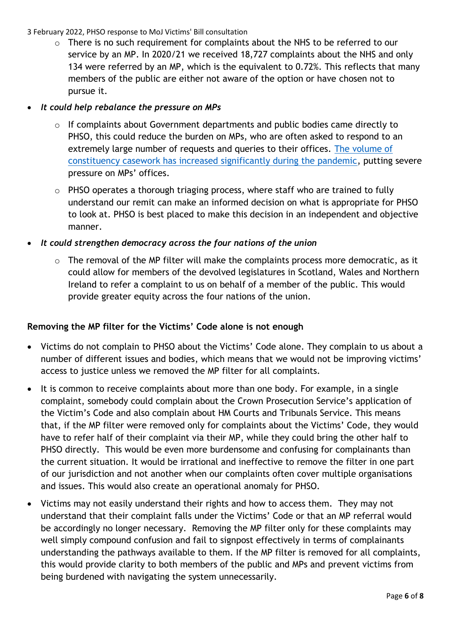o There is no such requirement for complaints about the NHS to be referred to our service by an MP. In 2020/21 we received 18,727 complaints about the NHS and only 134 were referred by an MP, which is the equivalent to 0.72%. This reflects that many members of the public are either not aware of the option or have chosen not to pursue it.

## • *It could help rebalance the pressure on MPs*

- o If complaints about Government departments and public bodies came directly to PHSO, this could reduce the burden on MPs, who are often asked to respond to an extremely large number of requests and queries to their offices. [The volume of](https://www.theguardian.com/politics/2021/sep/05/mps-face-phenomenal-rise-in-constituent-casework-during-pandemic) constituency [casework has increased significantly during the pandemic,](https://www.theguardian.com/politics/2021/sep/05/mps-face-phenomenal-rise-in-constituent-casework-during-pandemic) putting severe pressure on MPs' offices.
- o PHSO operates a thorough triaging process, where staff who are trained to fully understand our remit can make an informed decision on what is appropriate for PHSO to look at. PHSO is best placed to make this decision in an independent and objective manner.
- *It could strengthen democracy across the four nations of the union*
	- o The removal of the MP filter will make the complaints process more democratic, as it could allow for members of the devolved legislatures in Scotland, Wales and Northern Ireland to refer a complaint to us on behalf of a member of the public. This would provide greater equity across the four nations of the union.

# **Removing the MP filter for the Victims' Code alone is not enough**

- Victims do not complain to PHSO about the Victims' Code alone. They complain to us about a number of different issues and bodies, which means that we would not be improving victims' access to justice unless we removed the MP filter for all complaints.
- It is common to receive complaints about more than one body. For example, in a single complaint, somebody could complain about the Crown Prosecution Service's application of the Victim's Code and also complain about HM Courts and Tribunals Service. This means that, if the MP filter were removed only for complaints about the Victims' Code, they would have to refer half of their complaint via their MP, while they could bring the other half to PHSO directly. This would be even more burdensome and confusing for complainants than the current situation. It would be irrational and ineffective to remove the filter in one part of our jurisdiction and not another when our complaints often cover multiple organisations and issues. This would also create an operational anomaly for PHSO.
- Victims may not easily understand their rights and how to access them. They may not understand that their complaint falls under the Victims' Code or that an MP referral would be accordingly no longer necessary. Removing the MP filter only for these complaints may well simply compound confusion and fail to signpost effectively in terms of complainants understanding the pathways available to them. If the MP filter is removed for all complaints, this would provide clarity to both members of the public and MPs and prevent victims from being burdened with navigating the system unnecessarily.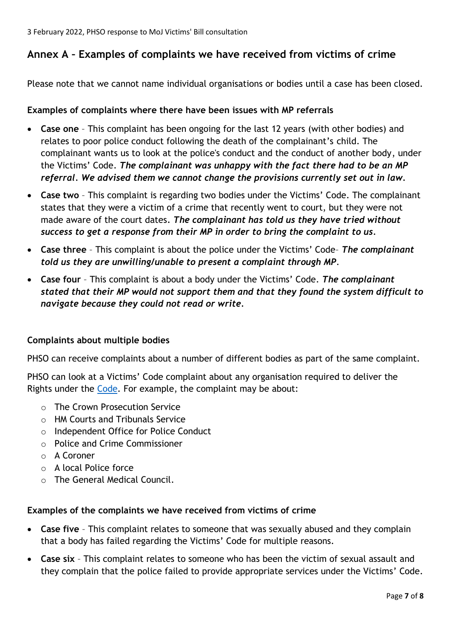# **Annex A – Examples of complaints we have received from victims of crime**

Please note that we cannot name individual organisations or bodies until a case has been closed.

#### **Examples of complaints where there have been issues with MP referrals**

- **Case one** This complaint has been ongoing for the last 12 years (with other bodies) and relates to poor police conduct following the death of the complainant's child. The complainant wants us to look at the police's conduct and the conduct of another body, under the Victims' Code. *The complainant was unhappy with the fact there had to be an MP referral. We advised them we cannot change the provisions currently set out in law.*
- **Case two** This complaint is regarding two bodies under the Victims' Code. The complainant states that they were a victim of a crime that recently went to court, but they were not made aware of the court dates*. The complainant has told us they have tried without success to get a response from their MP in order to bring the complaint to us.*
- **Case three** This complaint is about the police under the Victims' Code– *The complainant told us they are unwilling/unable to present a complaint through MP*.
- **Case four** This complaint is about a body under the Victims' Code. *The complainant stated that their MP would not support them and that they found the system difficult to navigate because they could not read or write.*

#### **Complaints about multiple bodies**

PHSO can receive complaints about a number of different bodies as part of the same complaint.

PHSO can look at a Victims' Code complaint about any organisation required to deliver the Rights under the [Code.](https://assets.publishing.service.gov.uk/government/uploads/system/uploads/attachment_data/file/974376/victims-code-2020.pdf) For example, the complaint may be about:

- o The Crown Prosecution Service
- o HM Courts and Tribunals Service
- o Independent Office for Police Conduct
- o Police and Crime Commissioner
- o A Coroner
- o A local Police force
- o The General Medical Council.

#### **Examples of the complaints we have received from victims of crime**

- **Case five** This complaint relates to someone that was sexually abused and they complain that a body has failed regarding the Victims' Code for multiple reasons.
- **Case six** This complaint relates to someone who has been the victim of sexual assault and they complain that the police failed to provide appropriate services under the Victims' Code.